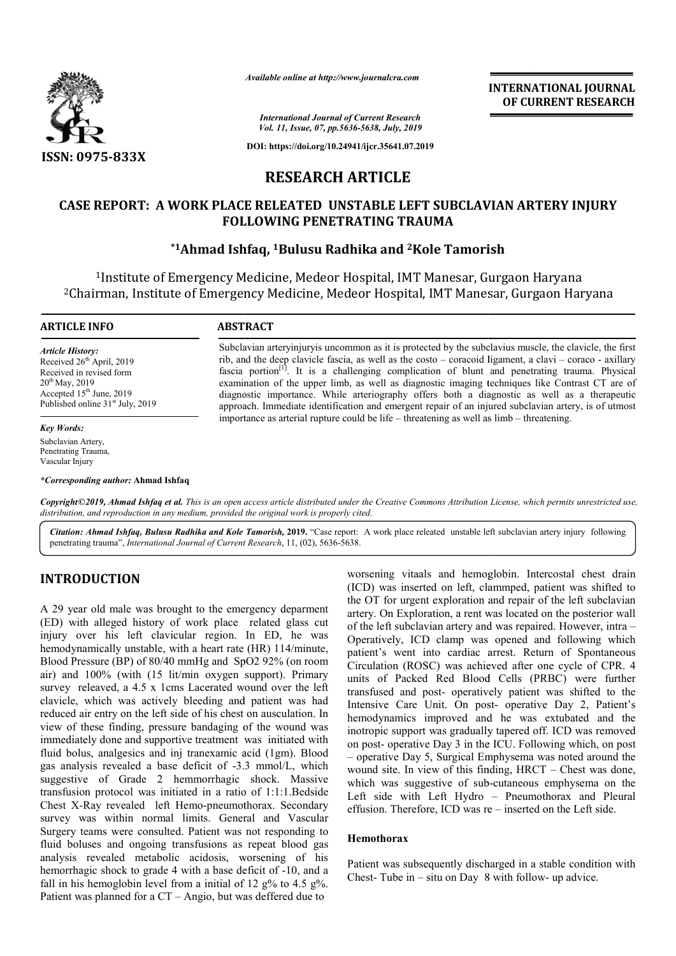

*Available online at http://www.journalcra.com*

**INTERNATIONAL JOURNAL OF CURRENT RESEARCH**

*International Journal of Current Research Vol. 11, Issue, 07, pp.5636-5638, July, 2019*

**DOI: https://doi.org/10.24941/ijcr.35641.07.2019**

# **RESEARCH ARTICLE**

## CASE REPORT: A WORK PLACE RELEATED UNSTABLE LEFT SUBCLAVIAN ARTERY INJURY **FOLLOWING PENETRATING TRAUMA**

## **\*1Ahmad Ishfaq, Ahmad 1Bulusu Radhika and 2Kole Tamorish Kole**

<sup>1</sup>Institute of Emergency Medicine, Medeor Hospital, IMT Manesar, Gurgaon Haryana <sup>2</sup>Chairman, Institute of Emergency Medicine, Medeor Hospital, IMT Manesar, Gurgaon Haryana

#### **ARTICLE INFO ABSTRACT**

*Article History:* Received 26<sup>th</sup> April, 2019 Received in revised form 20<sup>th</sup> May, 2019 Accepted  $15<sup>th</sup>$  June, 2019 Published online  $31<sup>st</sup>$  July, 2019

*Key Words:* Subclavian Artery,

Penetrating Trauma, Vascular Injury

*\*Corresponding author:* **Ahmad Ishfaq**

Subclavian arteryinjuryis uncommon as it is protected by the subclavius muscle, the clavicle, the first Subclavian arteryinjury is uncommon as it is protected by the subclavius muscle, the clavicle, the first rib, and the deep clavicle fascia, as well as the costo – coracoid ligament, a clavi – coraco - axillary fascia portion<sup>[1]</sup>. It is a challenging complication of blunt and penetrating trauma. Physical examination of the upper limb, as well as diagnostic imaging techniques like Contrast CT are of diagnostic importance. While arteriography offers both a diagnostic as well as a therapeutic approach. Immediate identification and emergent repair of an injured subclavian artery, is of utmost importance as arterial rupture could be life – threatening as well as limb is of the upper limb, as well as diagnostic imaging techniques like Contrast importance. While arteriography offers both a diagnostic as well as a threatening intered intervalent infusion and emergent repair of an injured

Copyright©2019, Ahmad Ishfaq et al. This is an open access article distributed under the Creative Commons Attribution License, which permits unrestricted use, *distribution, and reproduction in any medium, provided the original work is properly cited.*

Citation: Ahmad Ishfaq, Bulusu Radhika and Kole Tamorish, 2019. "Case report: A work place releated unstable left subclavian artery injury following penetrating trauma", *International Journal of Current Research*, 11, (02), 5636-5638.

## **INTRODUCTION**

A 29 year old male was brought to the emergency deparment (ED) with alleged history of work place related glass cut injury over his left clavicular region. In ED, he was hemodynamically unstable, with a heart rate (HR) 114/minute, Blood Pressure (BP) of 80/40 mmHg and SpO2 92% (on room air) and 100% (with (15 lit/min oxygen support). Primary survey releaved, a 4.5 x 1cms Lacerated wound over the left clavicle, which was actively bleeding and patient was had reduced air entry on the left side of his chest on ausculation. In view of these finding, pressure bandaging of the wound was immediately done and supportive treatment was initiated with fluid bolus, analgesics and inj tranexamic acid (1gm). Blood gas analysis revealed a base deficit of -3.3 mmol/L, which suggestive of Grade 2 hemmorrhagic shock. Massive transfusion protocol was initiated in a ratio of 1:1:1.Bedside Chest X-Ray revealed left Hemo-pneumothorax. Secondary survey was within normal limits. General and Vascular Surgery teams were consulted. Patient was not responding to fluid boluses and ongoing transfusions as repeat blood gas analysis revealed metabolic acidosis, worsening of his hemorrhagic shock to grade 4 with a base deficit of -10, and a fall in his hemoglobin level from a initial of 12  $g\%$  to 4.5  $g\%$ . Patient was planned for a CT – Angio, but was deffered due to ding, pressure bandaging of the wound was<br>and supportive treatment was initiated with<br>gesics and inj tranexamic acid (1gm). Blood<br>aled a base deficit of -3.3 mmol/L, which<br>Grade 2 hemmorrhagic shock. Massive<br>col was initia

worsening vitaals and hemoglobin. Intercostal chest drain (ICD) was inserted on left, clammped, patient was shifted to the OT for urgent exploration and repair of the left subclavian artery. On Exploration, a rent was located on the posterior wall artery. On Exploration, a rent was located on the posterior wall<br>of the left subclavian artery and was repaired. However, intra – Operatively, ICD clamp was opened and following which patient's went into cardiac arrest. Return of Spontaneous Circulation (ROSC) was achieved after one cycle of CPR. 4 patient's went into cardiac arrest. Return of Spontaneous Circulation (ROSC) was achieved after one cycle of CPR, 4 units of Packed Red Blood Cells Blood (PRBC) were further transfused and post- operatively patient was shifted to the transfused and post- operatively patient was shifted to the Intensive Care Unit. On post- operative Day 2, Patient's hemodynamics improved and he was extubated and the inotropic support was gradually tapered off. ICD was removed on post- operative Day 3 in the ICU. Following which, on post – operative Day 5, Surgical Emphysema was noted around the wound site. In view of this finding, HRCT – Chest was done, which was suggestive of sub-cutaneous emphysema on the Left side with Left Hydro – Pneumothorax and Pleural effusion. Therefore, ICD was re – inserted on the Left side. mamics improved and he was extubated and the<br>ic support was gradually tapered off. ICD was removed<br>- operative Day 3 in the ICU. Following which, on post<br>tive Day 5, Surgical Emphysema was noted around the<br>site. In view of

#### **Hemothorax**

Patient was subsequently discharged in a stable condition with Chest-Tube in – situ on Day 8 with follow- up advice. Chest- Tube in  $-$  situ on Day 8 with follow- up advice.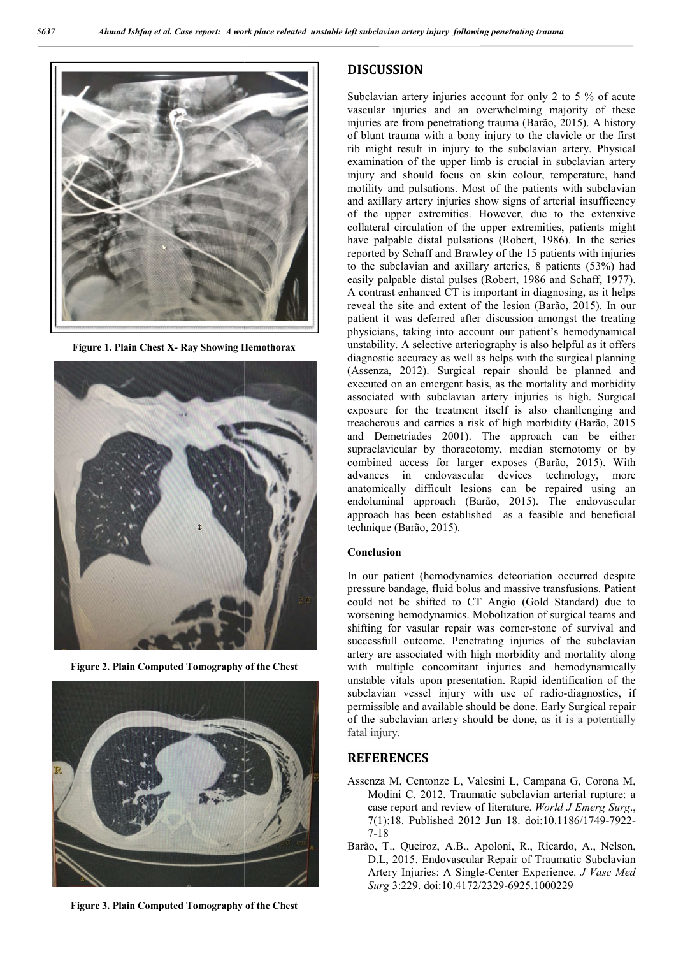

**Figure 1. Plain Chest X- Ray Showing Hemothorax**



**Figure 2. Plain Computed Tomography of the Chest**



**Figure 3. Plain Computed Tomography of the Chest**

## **DISCUSSION**

Subclavian artery injuries account for only 2 to 5 % of acute Subclavian artery injuries account for only 2 to 5 % of acute vascular injuries and an overwhelming majority of these injuries are from penetrationg trauma (Barão, 2015). A history of blunt trauma with a bony injury to the clavicle or the first rib might result in injury to the subclavian artery. Physical examination of the upper limb is crucial in subclavian artery injury and should focus on skin colour, temperature, hand motility and pulsations. Most of the patients with subclavian and axillary artery injuries show signs of arterial insufficency of the upper extremities. However, due to the extenxive collateral circulation of the upper extremities, patients might have palpable distal pulsations (Robert, 1986). In the series reported by Schaff and Brawley of the 15 patients with injuries to the subclavian and axillary arteries,  $8$  patients  $(53%)$  had easily palpable distal pulses (Robert, 1986 and Schaff, 1977). A contrast enhanced CT is important in diagnosing, as it helps reveal the site and extent of the lesion (Barão, 2015). In our reveal the site and extent of the lesion (Barão, 2015). In our patient it was deferred after discussion amongst the treating physicians, taking into account our patient's hemodynamical unstability. A selective arteriography is also helpful as it offers diagnostic accuracy as well as helps with the surgical planning (Assenza, 2012). Surgical repair should be planned and executed on an emergent basis, as the mortality and morbidity associated with subclavian artery injuries is high. Surgical exposure for the treatment itself is also chanllenging and treacherous and carries a risk of high morbidity (Barão, 2015 and Demetriades 2001). The approach can be either supraclavicular by thoracotomy, median sternotomy or by and Demetriades 2001). The approach can be either<br>supraclavicular by thoracotomy, median sternotomy or by<br>combined access for larger exposes (Barão, 2015). With advances in endovascular d devices technology, more anatomically difficult lesions can be repaired using an anatomically difficult lesions can be repaired using an endoluminal approach (Barão, 2015). The endovascular approach has been established as a feasible and beneficial technique (Barão, 2015). In the skin colour injury to the clavicle or the first ight result in injury to the subclavian artery. Physical ination of the upper limb is crucial in subclavian artery and should focus on skin colour, temperature, hand t taking into account our patient's hemodynamical<br>A selective arteriography is also helpful as it offers<br>ccuracy as well as helps with the surgical planning ). Surgical repair should be planned and emergent basis, as the mortality and morbidity subclavian artery injuries is high. Surgical the treatment itself is also chanllenging and

#### **Conclusion**

In our patient (hemodynamics deteoriation occurred despite pressure bandage, fluid bolus and massive transfusions. Patient approach has been established as a feasible and beneficial<br>technique (Barão, 2015).<br>**Conclusion**<br>In our patient (hemodynamics deteoriation occurred despite<br>pressure bandage, fluid bolus and massive transfusions. Patient<br>co worsening hemodynamics. Mobolization of surgical teams and worsening hemodynamics. Mobolization of surgical teams and shifting for vasular repair was corner-stone of survival and successfull outcome. Penetrating injuries of the subclavian artery are associated with high morbidity and mortality along with multiple concomitant injuries and hemodynamically unstable vitals upon presentation. Rapid identifica subclavian vessel injury with use of radio-diagnostics, if permissible and available should be done. Early Surgical repair of the subclavian artery should be done, as it is a potentially fatal injury. are associated with high morbidity and mortality along<br>multiple concomitant injuries and hemodynamically<br>le vitals upon presentation. Rapid identification of the

### **REFERENCES**

- Assenza M, Centonze L, Valesini L, Campana G, Corona M, Modini C. 2012. Traumatic subclavian arterial rupture: a Modini C. 2012. Traumatic subclavian arterial rupture: a case report and review of literature. *World J Emerg Surg.*, 7(1):18. Published 2012 Jun 18. doi:10.1186/1749-7922-7-18
- Barão, T., Queiroz, A.B., Apoloni, R., Ricardo, A., Nelson, D.L, 2015. Endovascular Repair of Traumatic Subclavian Artery Injuries: A Single-Center Experience. *J Vasc Med* Artery Injuries: A Single-Center Experience. J Vasc Med *Surg* 3:229. doi:10.4172/2329 3:229. doi:10.4172/2329-6925.1000229